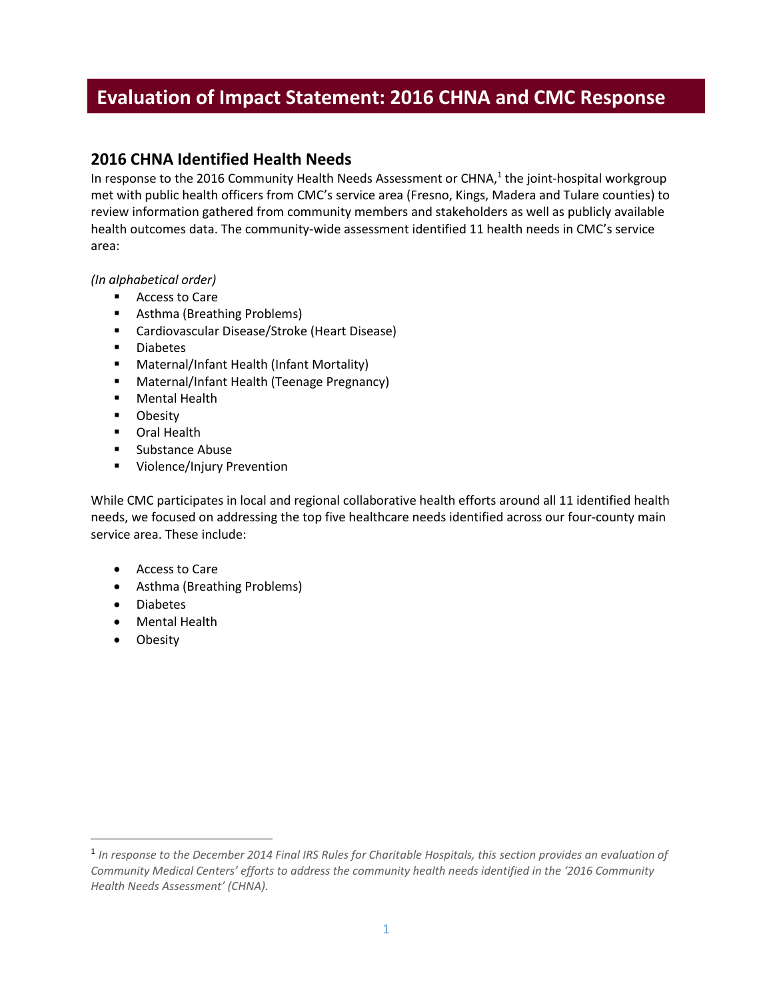# **Evaluation of Impact Statement: 2016 CHNA and CMC Response**

# **2016 CHNA Identified Health Needs**

In response to the 2016 Community Health Needs Assessment or CHNA,<sup>1</sup> the joint-hospital workgroup met with public health officers from CMC's service area (Fresno, Kings, Madera and Tulare counties) to review information gathered from community members and stakeholders as well as publicly available health outcomes data. The community-wide assessment identified 11 health needs in CMC's service area:

*(In alphabetical order)*

- **Access to Care**
- Asthma (Breathing Problems)
- Cardiovascular Disease/Stroke (Heart Disease)
- **Diabetes**
- **Maternal/Infant Health (Infant Mortality)**
- Maternal/Infant Health (Teenage Pregnancy)
- **Mental Health**
- **Dividend T**
- **•** Oral Health
- **Substance Abuse**
- **Violence/Injury Prevention**

While CMC participates in local and regional collaborative health efforts around all 11 identified health needs, we focused on addressing the top five healthcare needs identified across our four-county main service area. These include:

- Access to Care
- Asthma (Breathing Problems)
- Diabetes
- Mental Health
- Obesity

 $\overline{\phantom{a}}$ 

<sup>1</sup> *In response to the December 2014 Final IRS Rules for Charitable Hospitals, this section provides an evaluation of Community Medical Centers' efforts to address the community health needs identified in the '2016 Community Health Needs Assessment' (CHNA).*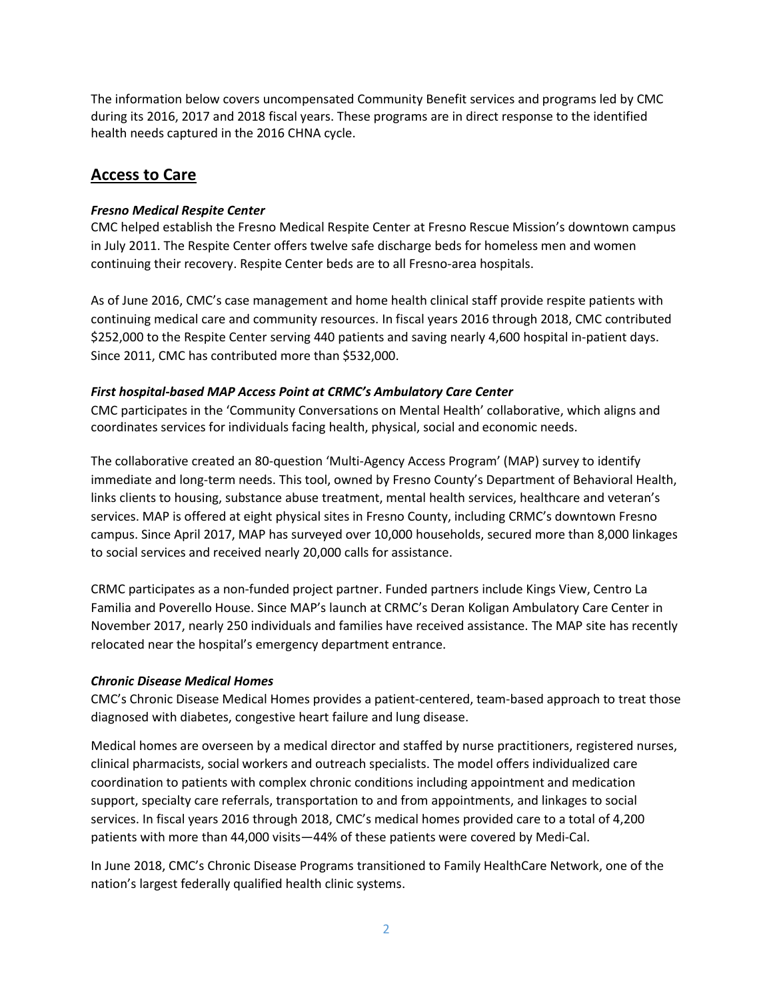The information below covers uncompensated Community Benefit services and programs led by CMC during its 2016, 2017 and 2018 fiscal years. These programs are in direct response to the identified health needs captured in the 2016 CHNA cycle.

# **Access to Care**

# *Fresno Medical Respite Center*

CMC helped establish the Fresno Medical Respite Center at Fresno Rescue Mission's downtown campus in July 2011. The Respite Center offers twelve safe discharge beds for homeless men and women continuing their recovery. Respite Center beds are to all Fresno-area hospitals.

As of June 2016, CMC's case management and home health clinical staff provide respite patients with continuing medical care and community resources. In fiscal years 2016 through 2018, CMC contributed \$252,000 to the Respite Center serving 440 patients and saving nearly 4,600 hospital in-patient days. Since 2011, CMC has contributed more than \$532,000.

## *First hospital-based MAP Access Point at CRMC's Ambulatory Care Center*

CMC participates in the 'Community Conversations on Mental Health' collaborative, which aligns and coordinates services for individuals facing health, physical, social and economic needs.

The collaborative created an 80-question 'Multi-Agency Access Program' (MAP) survey to identify immediate and long-term needs. This tool, owned by Fresno County's Department of Behavioral Health, links clients to housing, substance abuse treatment, mental health services, healthcare and veteran's services. MAP is offered at eight physical sites in Fresno County, including CRMC's downtown Fresno campus. Since April 2017, MAP has surveyed over 10,000 households, secured more than 8,000 linkages to social services and received nearly 20,000 calls for assistance.

CRMC participates as a non-funded project partner. Funded partners include Kings View, Centro La Familia and Poverello House. Since MAP's launch at CRMC's Deran Koligan Ambulatory Care Center in November 2017, nearly 250 individuals and families have received assistance. The MAP site has recently relocated near the hospital's emergency department entrance.

## *Chronic Disease Medical Homes*

CMC's Chronic Disease Medical Homes provides a patient-centered, team-based approach to treat those diagnosed with diabetes, congestive heart failure and lung disease.

Medical homes are overseen by a medical director and staffed by nurse practitioners, registered nurses, clinical pharmacists, social workers and outreach specialists. The model offers individualized care coordination to patients with complex chronic conditions including appointment and medication support, specialty care referrals, transportation to and from appointments, and linkages to social services. In fiscal years 2016 through 2018, CMC's medical homes provided care to a total of 4,200 patients with more than 44,000 visits—44% of these patients were covered by Medi-Cal.

In June 2018, CMC's Chronic Disease Programs transitioned to Family HealthCare Network, one of the nation's largest federally qualified health clinic systems.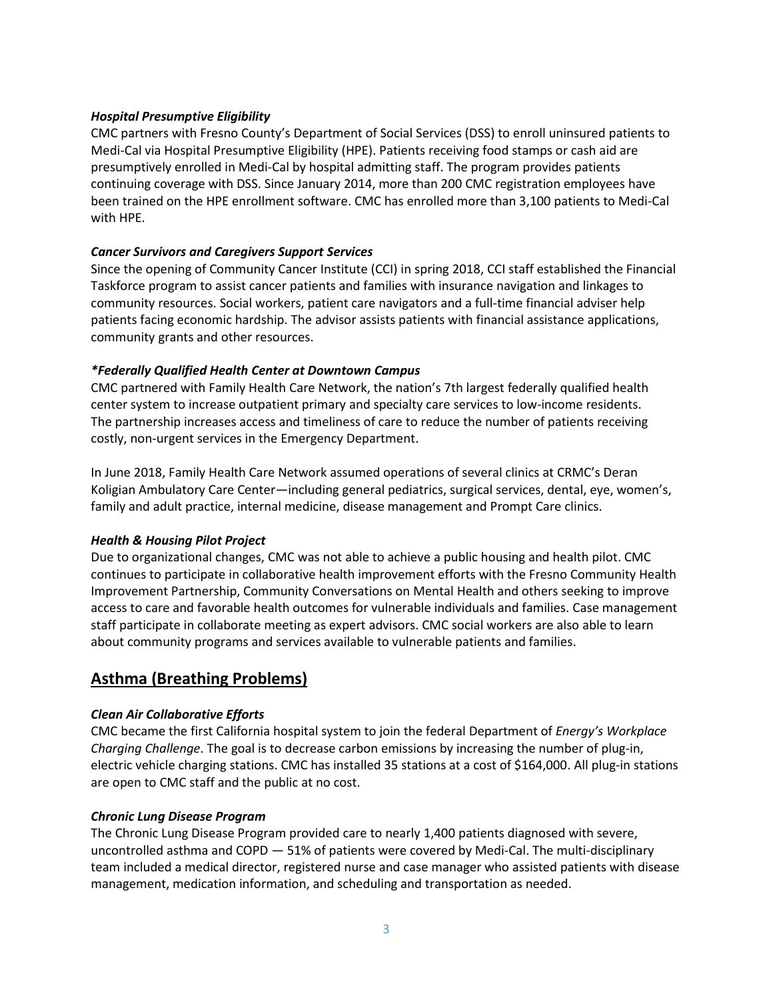#### *Hospital Presumptive Eligibility*

CMC partners with Fresno County's Department of Social Services (DSS) to enroll uninsured patients to Medi-Cal via Hospital Presumptive Eligibility (HPE). Patients receiving food stamps or cash aid are presumptively enrolled in Medi-Cal by hospital admitting staff. The program provides patients continuing coverage with DSS. Since January 2014, more than 200 CMC registration employees have been trained on the HPE enrollment software. CMC has enrolled more than 3,100 patients to Medi-Cal with HPE.

### *Cancer Survivors and Caregivers Support Services*

Since the opening of Community Cancer Institute (CCI) in spring 2018, CCI staff established the Financial Taskforce program to assist cancer patients and families with insurance navigation and linkages to community resources. Social workers, patient care navigators and a full-time financial adviser help patients facing economic hardship. The advisor assists patients with financial assistance applications, community grants and other resources.

### *\*Federally Qualified Health Center at Downtown Campus*

CMC partnered with Family Health Care Network, the nation's 7th largest federally qualified health center system to increase outpatient primary and specialty care services to low-income residents. The partnership increases access and timeliness of care to reduce the number of patients receiving costly, non-urgent services in the Emergency Department.

In June 2018, Family Health Care Network assumed operations of several clinics at CRMC's Deran Koligian Ambulatory Care Center—including general pediatrics, surgical services, dental, eye, women's, family and adult practice, internal medicine, disease management and Prompt Care clinics.

## *Health & Housing Pilot Project*

Due to organizational changes, CMC was not able to achieve a public housing and health pilot. CMC continues to participate in collaborative health improvement efforts with the Fresno Community Health Improvement Partnership, Community Conversations on Mental Health and others seeking to improve access to care and favorable health outcomes for vulnerable individuals and families. Case management staff participate in collaborate meeting as expert advisors. CMC social workers are also able to learn about community programs and services available to vulnerable patients and families.

# **Asthma (Breathing Problems)**

## *Clean Air Collaborative Efforts*

CMC became the first California hospital system to join the federal Department of *Energy's Workplace Charging Challenge*. The goal is to decrease carbon emissions by increasing the number of plug-in, electric vehicle charging stations. CMC has installed 35 stations at a cost of \$164,000. All plug-in stations are open to CMC staff and the public at no cost.

#### *Chronic Lung Disease Program*

The Chronic Lung Disease Program provided care to nearly 1,400 patients diagnosed with severe, uncontrolled asthma and COPD — 51% of patients were covered by Medi-Cal. The multi-disciplinary team included a medical director, registered nurse and case manager who assisted patients with disease management, medication information, and scheduling and transportation as needed.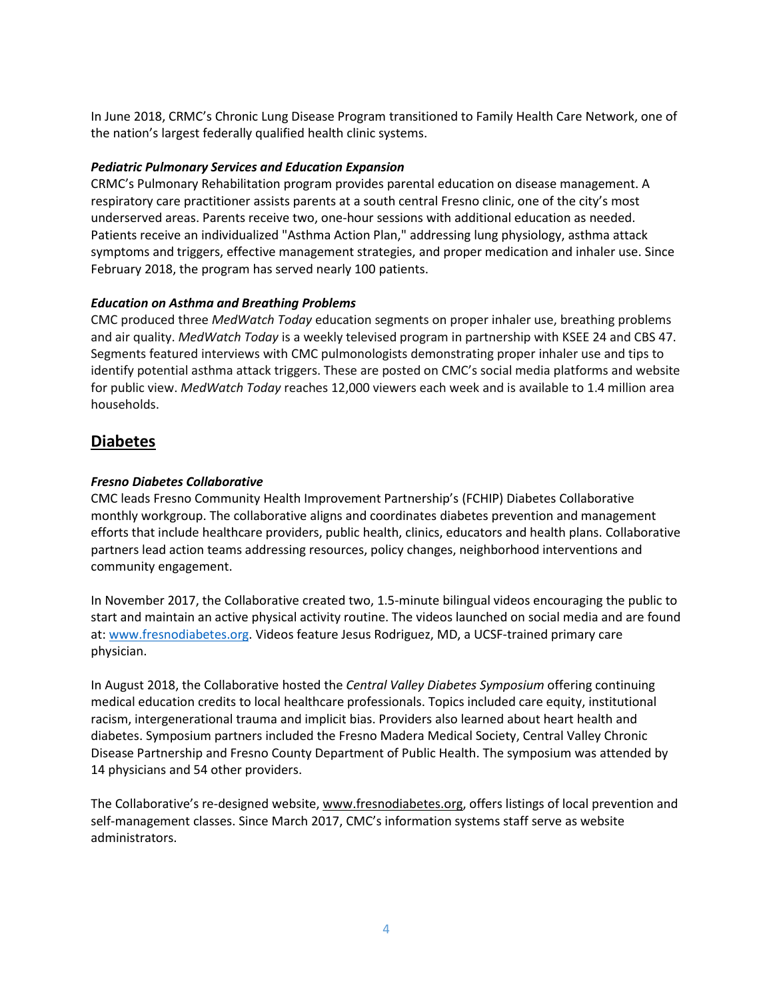In June 2018, CRMC's Chronic Lung Disease Program transitioned to Family Health Care Network, one of the nation's largest federally qualified health clinic systems.

#### *Pediatric Pulmonary Services and Education Expansion*

CRMC's Pulmonary Rehabilitation program provides parental education on disease management. A respiratory care practitioner assists parents at a south central Fresno clinic, one of the city's most underserved areas. Parents receive two, one-hour sessions with additional education as needed. Patients receive an individualized "Asthma Action Plan," addressing lung physiology, asthma attack symptoms and triggers, effective management strategies, and proper medication and inhaler use. Since February 2018, the program has served nearly 100 patients.

#### *Education on Asthma and Breathing Problems*

CMC produced three *MedWatch Today* education segments on proper inhaler use, breathing problems and air quality. *MedWatch Today* is a weekly televised program in partnership with KSEE 24 and CBS 47. Segments featured interviews with CMC pulmonologists demonstrating proper inhaler use and tips to identify potential asthma attack triggers. These are posted on CMC's social media platforms and website for public view. *MedWatch Today* reaches 12,000 viewers each week and is available to 1.4 million area households.

# **Diabetes**

#### *Fresno Diabetes Collaborative*

CMC leads Fresno Community Health Improvement Partnership's (FCHIP) Diabetes Collaborative monthly workgroup. The collaborative aligns and coordinates diabetes prevention and management efforts that include healthcare providers, public health, clinics, educators and health plans. Collaborative partners lead action teams addressing resources, policy changes, neighborhood interventions and community engagement.

In November 2017, the Collaborative created two, 1.5-minute bilingual videos encouraging the public to start and maintain an active physical activity routine. The videos launched on social media and are found at: [www.fresnodiabetes.org.](http://www.fresnodiabetes.org/) Videos feature Jesus Rodriguez, MD, a UCSF-trained primary care physician.

In August 2018, the Collaborative hosted the *Central Valley Diabetes Symposium* offering continuing medical education credits to local healthcare professionals. Topics included care equity, institutional racism, intergenerational trauma and implicit bias. Providers also learned about heart health and diabetes. Symposium partners included the Fresno Madera Medical Society, Central Valley Chronic Disease Partnership and Fresno County Department of Public Health. The symposium was attended by 14 physicians and 54 other providers.

The Collaborative's re-designed website[, www.fresnodiabetes.org,](http://www.fresnodiabetes.org/) offers listings of local prevention and self-management classes. Since March 2017, CMC's information systems staff serve as website administrators.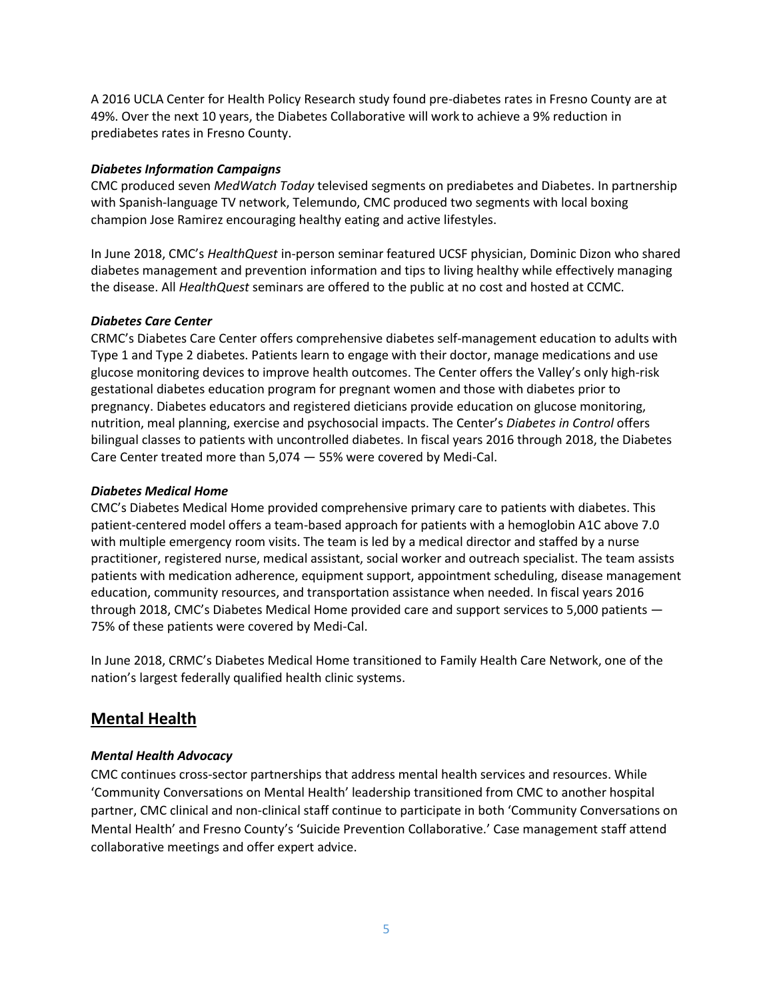A 2016 UCLA Center for Health Policy Research study found pre-diabetes rates in Fresno County are at 49%. Over the next 10 years, the Diabetes Collaborative will work to achieve a 9% reduction in prediabetes rates in Fresno County.

#### *Diabetes Information Campaigns*

CMC produced seven *MedWatch Today* televised segments on prediabetes and Diabetes. In partnership with Spanish-language TV network, Telemundo, CMC produced two segments with local boxing champion Jose Ramirez encouraging healthy eating and active lifestyles.

In June 2018, CMC's *HealthQuest* in-person seminar featured UCSF physician, Dominic Dizon who shared diabetes management and prevention information and tips to living healthy while effectively managing the disease. All *HealthQuest* seminars are offered to the public at no cost and hosted at CCMC.

### *Diabetes Care Center*

CRMC's Diabetes Care Center offers comprehensive diabetes self-management education to adults with Type 1 and Type 2 diabetes. Patients learn to engage with their doctor, manage medications and use glucose monitoring devices to improve health outcomes. The Center offers the Valley's only high-risk gestational diabetes education program for pregnant women and those with diabetes prior to pregnancy. Diabetes educators and registered dieticians provide education on glucose monitoring, nutrition, meal planning, exercise and psychosocial impacts. The Center's *Diabetes in Control* offers bilingual classes to patients with uncontrolled diabetes. In fiscal years 2016 through 2018, the Diabetes Care Center treated more than 5,074 — 55% were covered by Medi-Cal.

### *Diabetes Medical Home*

CMC's Diabetes Medical Home provided comprehensive primary care to patients with diabetes. This patient-centered model offers a team-based approach for patients with a hemoglobin A1C above 7.0 with multiple emergency room visits. The team is led by a medical director and staffed by a nurse practitioner, registered nurse, medical assistant, social worker and outreach specialist. The team assists patients with medication adherence, equipment support, appointment scheduling, disease management education, community resources, and transportation assistance when needed. In fiscal years 2016 through 2018, CMC's Diabetes Medical Home provided care and support services to 5,000 patients — 75% of these patients were covered by Medi-Cal.

In June 2018, CRMC's Diabetes Medical Home transitioned to Family Health Care Network, one of the nation's largest federally qualified health clinic systems.

# **Mental Health**

## *Mental Health Advocacy*

CMC continues cross-sector partnerships that address mental health services and resources. While 'Community Conversations on Mental Health' leadership transitioned from CMC to another hospital partner, CMC clinical and non-clinical staff continue to participate in both 'Community Conversations on Mental Health' and Fresno County's 'Suicide Prevention Collaborative.' Case management staff attend collaborative meetings and offer expert advice.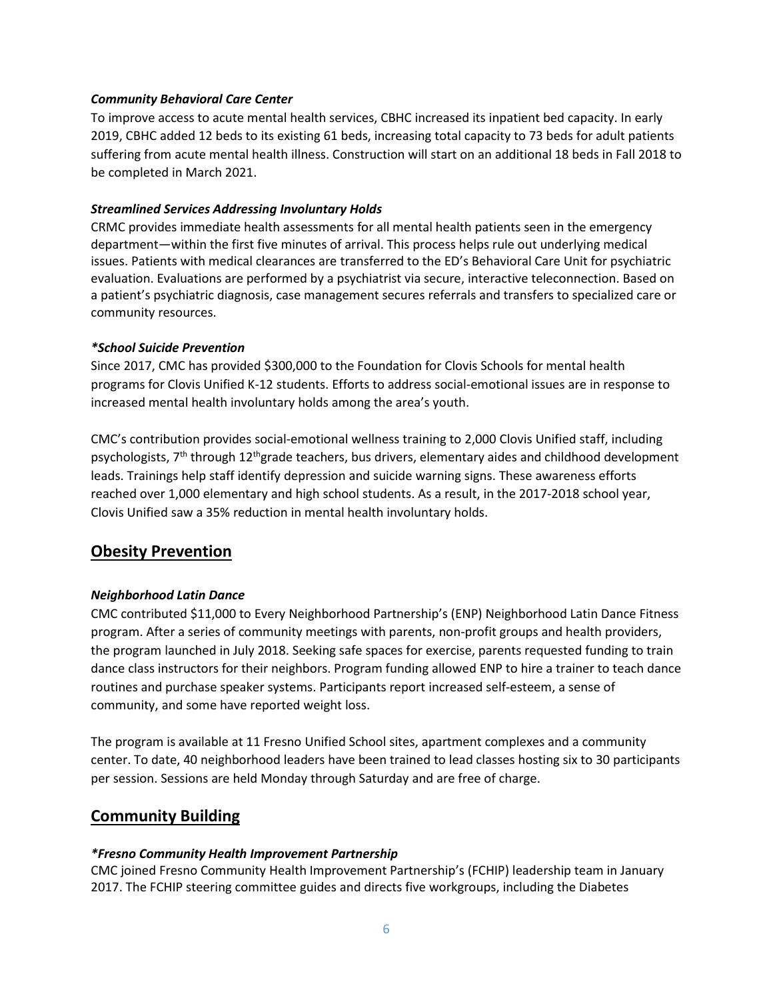#### *Community Behavioral Care Center*

To improve access to acute mental health services, CBHC increased its inpatient bed capacity. In early 2019, CBHC added 12 beds to its existing 61 beds, increasing total capacity to 73 beds for adult patients suffering from acute mental health illness. Construction will start on an additional 18 beds in Fall 2018 to be completed in March 2021.

#### *Streamlined Services Addressing Involuntary Holds*

CRMC provides immediate health assessments for all mental health patients seen in the emergency department—within the first five minutes of arrival. This process helps rule out underlying medical issues. Patients with medical clearances are transferred to the ED's Behavioral Care Unit for psychiatric evaluation. Evaluations are performed by a psychiatrist via secure, interactive teleconnection. Based on a patient's psychiatric diagnosis, case management secures referrals and transfers to specialized care or community resources.

#### *\*School Suicide Prevention*

Since 2017, CMC has provided \$300,000 to the Foundation for Clovis Schools for mental health programs for Clovis Unified K-12 students. Efforts to address social-emotional issues are in response to increased mental health involuntary holds among the area's youth.

CMC's contribution provides social-emotional wellness training to 2,000 Clovis Unified staff, including psychologists, 7<sup>th</sup> through 12<sup>th</sup>grade teachers, bus drivers, elementary aides and childhood development leads. Trainings help staff identify depression and suicide warning signs. These awareness efforts reached over 1,000 elementary and high school students. As a result, in the 2017-2018 school year, Clovis Unified saw a 35% reduction in mental health involuntary holds.

# **Obesity Prevention**

#### *Neighborhood Latin Dance*

CMC contributed \$11,000 to Every Neighborhood Partnership's (ENP) Neighborhood Latin Dance Fitness program. After a series of community meetings with parents, non-profit groups and health providers, the program launched in July 2018. Seeking safe spaces for exercise, parents requested funding to train dance class instructors for their neighbors. Program funding allowed ENP to hire a trainer to teach dance routines and purchase speaker systems. Participants report increased self-esteem, a sense of community, and some have reported weight loss.

The program is available at 11 Fresno Unified School sites, apartment complexes and a community center. To date, 40 neighborhood leaders have been trained to lead classes hosting six to 30 participants per session. Sessions are held Monday through Saturday and are free of charge.

# **Community Building**

#### *\*Fresno Community Health Improvement Partnership*

CMC joined Fresno Community Health Improvement Partnership's (FCHIP) leadership team in January 2017. The FCHIP steering committee guides and directs five workgroups, including the Diabetes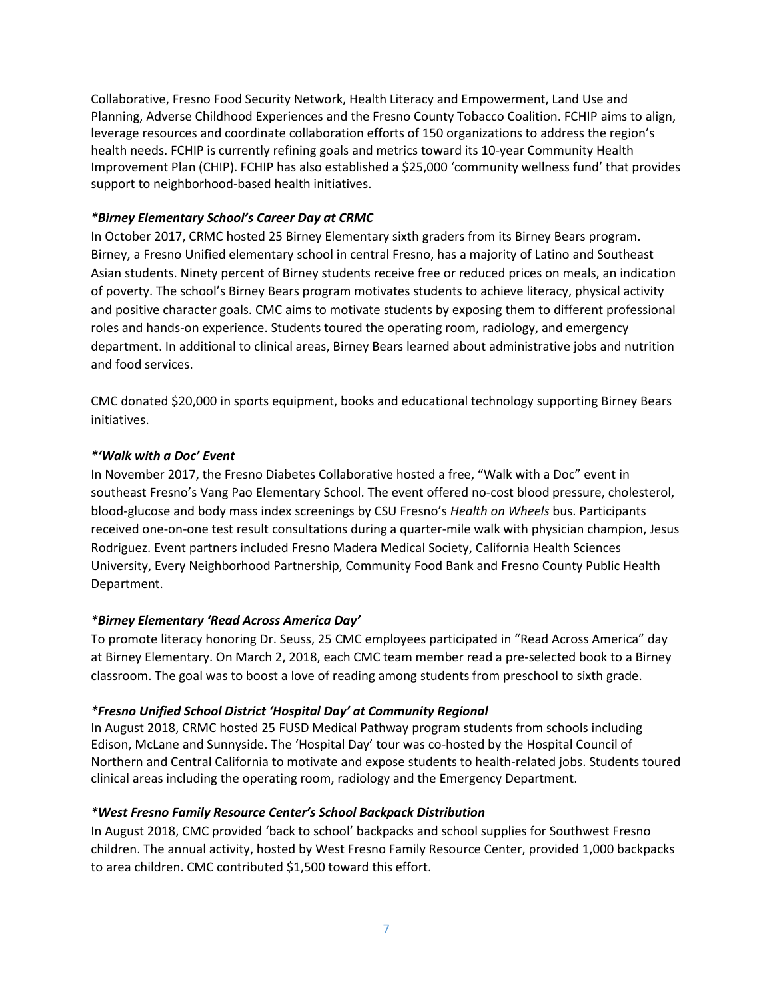Collaborative, Fresno Food Security Network, Health Literacy and Empowerment, Land Use and Planning, Adverse Childhood Experiences and the Fresno County Tobacco Coalition. FCHIP aims to align, leverage resources and coordinate collaboration efforts of 150 organizations to address the region's health needs. FCHIP is currently refining goals and metrics toward its 10-year Community Health Improvement Plan (CHIP). FCHIP has also established a \$25,000 'community wellness fund' that provides support to neighborhood-based health initiatives.

### *\*Birney Elementary School's Career Day at CRMC*

In October 2017, CRMC hosted 25 Birney Elementary sixth graders from its Birney Bears program. Birney, a Fresno Unified elementary school in central Fresno, has a majority of Latino and Southeast Asian students. Ninety percent of Birney students receive free or reduced prices on meals, an indication of poverty. The school's Birney Bears program motivates students to achieve literacy, physical activity and positive character goals. CMC aims to motivate students by exposing them to different professional roles and hands-on experience. Students toured the operating room, radiology, and emergency department. In additional to clinical areas, Birney Bears learned about administrative jobs and nutrition and food services.

CMC donated \$20,000 in sports equipment, books and educational technology supporting Birney Bears initiatives.

### *\*'Walk with a Doc' Event*

In November 2017, the Fresno Diabetes Collaborative hosted a free, "Walk with a Doc" event in southeast Fresno's Vang Pao Elementary School. The event offered no-cost blood pressure, cholesterol, blood-glucose and body mass index screenings by CSU Fresno's *Health on Wheels* bus. Participants received one-on-one test result consultations during a quarter-mile walk with physician champion, Jesus Rodriguez. Event partners included Fresno Madera Medical Society, California Health Sciences University, Every Neighborhood Partnership, Community Food Bank and Fresno County Public Health Department.

## *\*Birney Elementary 'Read Across America Day'*

To promote literacy honoring Dr. Seuss, 25 CMC employees participated in "Read Across America" day at Birney Elementary. On March 2, 2018, each CMC team member read a pre-selected book to a Birney classroom. The goal was to boost a love of reading among students from preschool to sixth grade.

## *\*Fresno Unified School District 'Hospital Day' at Community Regional*

In August 2018, CRMC hosted 25 FUSD Medical Pathway program students from schools including Edison, McLane and Sunnyside. The 'Hospital Day' tour was co-hosted by the Hospital Council of Northern and Central California to motivate and expose students to health-related jobs. Students toured clinical areas including the operating room, radiology and the Emergency Department.

## *\*West Fresno Family Resource Center's School Backpack Distribution*

In August 2018, CMC provided 'back to school' backpacks and school supplies for Southwest Fresno children. The annual activity, hosted by West Fresno Family Resource Center, provided 1,000 backpacks to area children. CMC contributed \$1,500 toward this effort.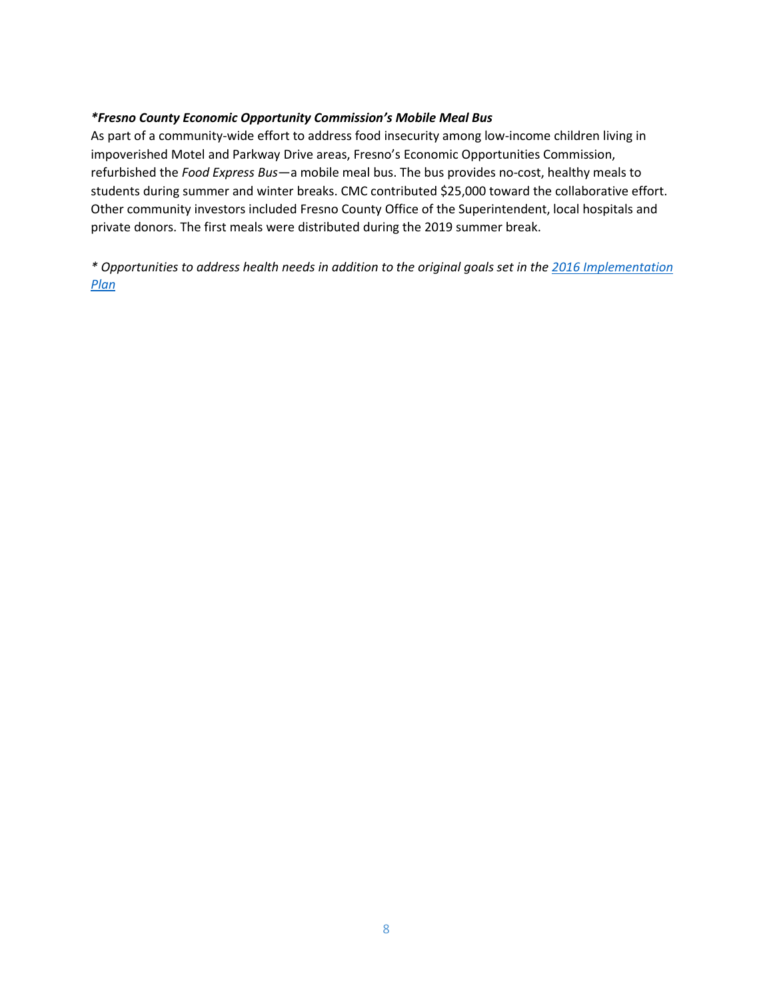#### *\*Fresno County Economic Opportunity Commission's Mobile Meal Bus*

As part of a community-wide effort to address food insecurity among low-income children living in impoverished Motel and Parkway Drive areas, Fresno's Economic Opportunities Commission, refurbished the *Food Express Bus*—a mobile meal bus. The bus provides no-cost, healthy meals to students during summer and winter breaks. CMC contributed \$25,000 toward the collaborative effort. Other community investors included Fresno County Office of the Superintendent, local hospitals and private donors. The first meals were distributed during the 2019 summer break.

*\* Opportunities to address health needs in addition to the original goals set in the [2016 Implementation](https://www.communitymedical.org/CMC/media/Fact-Sheets/pr_CMC-CHNA-Report-2016-01-10-17-FINAL.pdf)  [Plan](https://www.communitymedical.org/CMC/media/Fact-Sheets/pr_CMC-CHNA-Report-2016-01-10-17-FINAL.pdf)*